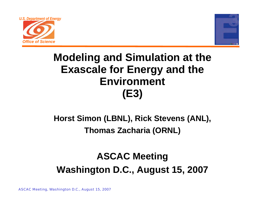



# **Modeling and Simulation at the Exascale for Energy and the Environment (E3)**

## **Horst Simon (LBNL), Rick Stevens (ANL), Thomas Zacharia (ORNL)**

# **ASCAC Meeting Washington D.C., August 15, 2007**

ASCAC Meeting, Washington D.C., August 15, 2007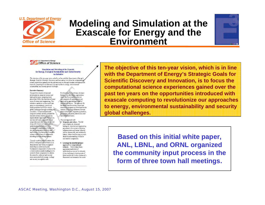

### **Modeling and Simulation at the Exascale for Energy and the Environment**



U.S. Department of Energy **Office of Science** 

#### Simulation and Modeling at the Exascale for Energy, Ecological Sustainability and Global Security An Initiative

The objective of this ten-year vision, which is in line with the Department of Bnergy's Strategic Goals for Scientific Discovery and Innovation, is to focus the computationa science experiences gained over the past tenyears on the opportunities introduced with exascale computing to revolutionize our approaches to energy, environmental sustainability and security global challenges.

#### **Executive Summary**

The past two decades of national investments in computer science and high-performance computing have placed the DOE at the forefront of many areas of science and engineering. This initiative capitalizes on the significant gains in computational science and boldly positions the DOE to attack global challenges through modeling and simulation. The planned petascale computer systems and the potential for exascale systems shortly provide an unprecedented opportunity for science: one that will make it possible to use computation not only as an critical tool along with theory and experiment in understanding the behavior of the fundamental components of nature but also for fundamental discovery and exploration of the behavior of complex systems with billions of components including those involving humans.

Through modeling and simulation, the DOE is well-positioned to build on its demonstrated and widely-recognized leadership in understanding the fundamental components of nature to be a world-leader in understanding how to assemble these components to address the scientific, technical and societal issues associated with energy, ecology and security on a global scale.

For these types of problems, the timehonored, or subsystems, approach in which the forces and the physical environments of a phenomenon are analyzed, is approaching a state of diminishing returns. The approach for the future must be systems based and simulation programs are developed in the context of encoding all known relevant physical laws with engineering practices, production utilization distribution and environmental factors.

- This new approach will • Integrate, not reduce. The full suite of physical, chemical, biological, chemical and engineering processes in the context of existing infrastructures and human behavior will be dynamically and realistically linked, rather than focusing on more detailed understanding of smaller and smaller components.
- Leverage the interdisciplinary approach to computational sciences. Current algorithms, approaches and levels of understanding may not be a dequate. A key challenge in development of these models will be the creation of a framework and semantics for model

**The objective of this ten-year vision, which is in line with the Department of Energy's Strategic Goals for Scientific Discovery and Innovation, is to focus the computational science experiences gained over the past ten years on the opportunities introduced with exascale computing to revolutionize our approaches to energy, environmental sustainability and security global challenges.**

**Based on this initial white paper, ANL, LBNL, and ORNL organized the community input process in the form of three town hall meetings.**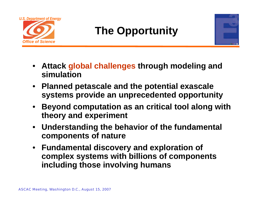

# **The Opportunity**



- **Attack global challenges through modeling and simulation**
- **Planned petascale and the potential exascale systems provide an unprecedented opportunity**
- • **Beyond computation as an critical tool along with theory and experiment**
- **Understanding the behavior of the fundamental components of nature**
- **Fundamental discovery and exploration of complex systems with billions of components including those involving humans**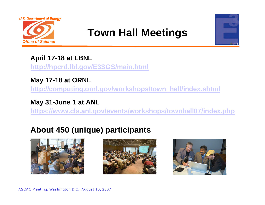

# **Town Hall Meetings**



### **April 17-18 at LBNL**

**http://hpcrd.lbl.gov/E3SGS/main.html**

### **May 17-18 at ORNL**

**http://computing.ornl.gov/workshops/town\_hall/index.shtml**

### **May 31-June 1 at ANL**

**https://www.cls.anl.gov/events/workshops/townhall07/index.php**

## **About 450 (unique) participants**





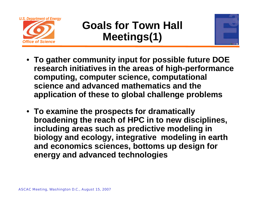

# **Goals for Town Hall Meetings(1)**



- **To gather community input for possible future DOE research initiatives in the areas of high-performance computing, computer science, computational science and advanced mathematics and the application of these to global challenge problems**
- **To examine the prospects for dramatically broadening the reach of HPC in to new disciplines, including areas such as predictive modeling in biology and ecology, integrative modeling in earth and economics sciences, bottoms up design for energy and advanced technologies**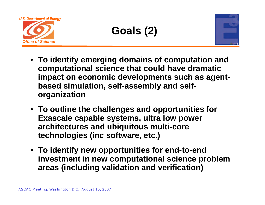

# **Goals (2)**



- **To identify emerging domains of computation and computational science that could have dramatic impact on economic developments such as agentbased simulation, self-assembly and selforganization**
- **To outline the challenges and opportunities for Exascale capable systems, ultra low power architectures and ubiquitous multi-core technologies (inc software, etc.)**
- **To identify new opportunities for end-to-end investment in new computational science problem areas (including validation and verification)**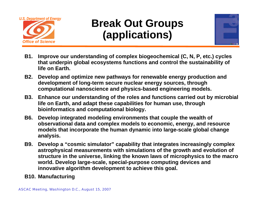

# **Break Out Groups (applications)**



- **B1. Improve our understanding of complex biogeochemical (C, N, P, etc.) cycles that underpin global ecosystems functions and control the sustainability of life on Earth.**
- **B2. Develop and optimize new pathways for renewable energy production and development of long-term secure nuclear energy sources, through computational nanoscience and physics-based engineering models.**
- **B3. Enhance our understanding of the roles and functions carried out by microbial life on Earth, and adapt these capabilities for human use, through bioinformatics and computational biology.**
- **B6. Develop integrated modeling environments that couple the wealth of observational data and complex models to economic, energy, and resource models that incorporate the human dynamic into large-scale global change analysis.**
- **B9. Develop a "cosmic simulator" capability that integrates increasingly complex astrophysical measurements with simulations of the growth and evolution of structure in the universe, linking the known laws of microphysics to the macro world. Develop large-scale, special-purpose computing devices and innovative algorithm development to achieve this goal.**
- **B10. Manufacturing**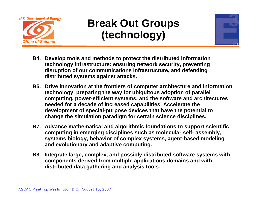

# **Break Out Groups (technology)**



- **B4. Develop tools and methods to protect the distributed information technology infrastructure: ensuring network security, preventing disruption of our communications infrastructure, and defending distributed systems against attacks.**
- **B5. Drive innovation at the frontiers of computer architecture and information technology, preparing the way for ubiquitous adoption of parallel computing, power-efficient systems, and the software and architectures needed for a decade of increased capabilities. Accelerate the development of special-purpose devices that have the potential to change the simulation paradigm for certain science disciplines.**
- **B7. Advance mathematical and algorithmic foundations to support scientific computing in emerging disciplines such as molecular self- assembly, systems biology, behavior of complex systems, agent-based modeling and evolutionary and adaptive computing.**
- **B8. Integrate large, complex, and possibly distributed software systems with components derived from multiple applications domains and with distributed data gathering and analysis tools.**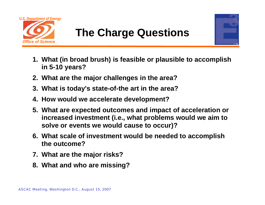



- **1. What (in broad brush) is feasible or plausible to accomplish in 5-10 years?**
- **2. What are the major challenges in the area?**
- **3. What is today's state-of-the art in the area?**
- **4. How would we accelerate development?**
- **5. What are expected outcomes and impact of acceleration or increased investment (i.e., what problems would we aim to solve or events we would cause to occur)?**
- **6. What scale of investment would be needed to accomplish the outcome?**
- **7. What are the major risks?**
- **8. What and who are missing?**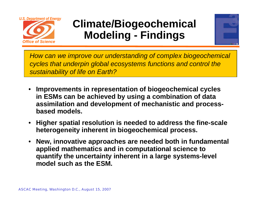

# **Climate/Biogeochemical Modeling - Findings**



*How can we improve our understanding of complex biogeochemical cycles that underpin global ecosystems functions and control the sustainability of life on Earth?*

- • **Improvements in representation of biogeochemical cycles in ESMs can be achieved by using a combination of data assimilation and development of mechanistic and processbased models.**
- • **Higher spatial resolution is needed to address the fine-scale heterogeneity inherent in biogeochemical process.**
- • **New, innovative approaches are needed both in fundamental applied mathematics and in computational science to quantify the uncertainty inherent in a large systems-level model such as the ESM.**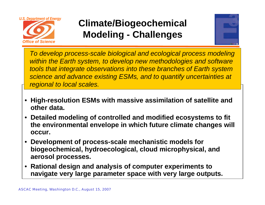

# **Climate/Biogeochemical Modeling - Challenges**



*To develop process-scale biological and ecological process modeling within the Earth system, to develop new methodologies and software tools that integrate observations into these branches of Earth system science and advance existing ESMs, and to quantify uncertainties at regional to local scales.*

- **High-resolution ESMs with massive assimilation of satellite and other data.**
- **Detailed modeling of controlled and modified ecosystems to fit the environmental envelope in which future climate changes will occur.**
- **Development of process-scale mechanistic models for biogeochemical, hydroecological, cloud microphysical, and aerosol processes.**
- **Rational design and analysis of computer experiments to navigate very large parameter space with very large outputs.**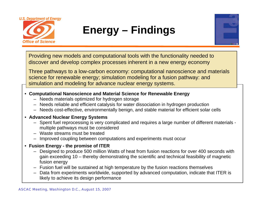

# **Energy – Findings**



Providing new models and computational tools with the functionality needed to discover and develop complex processes inherent in a new energy economy

Three pathways to a low-carbon economy: computational nanoscience and materials science for renewable energy; simulation modeling for a fusion pathway: and simulation and modeling for advance nuclear energy systems.

- **Computational Nanoscience and Material Science for Renewable Energy**
	- Needs materials optimized for hydrogen storage
	- Needs reliable and efficient catalysis for water dissociation in hydrogen production
	- Needs cost-effective, environmentally benign, and stable material for efficient solar cells

### • **Advanced Nuclear Energy Systems**

- Spent fuel reprocessing is very complicated and requires a large number of different materials multiple pathways must be considered
- Waste streams must be treated
- Improved coupling between computations and experiments must occur
- **Fusion Energy - the promise of ITER**
	- Designed to produce 500 million Watts of heat from fusion reactions for over 400 seconds with gain exceeding 10 – thereby demonstrating the scientific and technical feasibility of magnetic fusion energy
	- Fusion fuel will be sustained at high temperature by the fusion reactions themselves
	- Data from experiments worldwide, supported by advanced computation, indicate that ITER is likely to achieve its design performance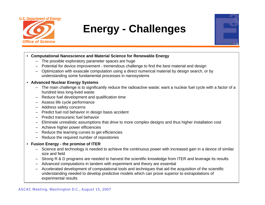

# **Energy - Challenges**



- **Computational Nanoscience and Material Science for Renewable Energy**
	- The possible exploratory parameter spaces are huge
	- rameter spaces are huge<br>ment tremendous challenge to find the best material and design<br>computation using a direct numerical material by design search... – Potential for device improvement - tremendous challenge to find the best material and design
	- Optimization with exascale computation using a direct numerical material by design search, or by understanding some fundamental processes in nanosystems
- **Advanced Nuclear Energy Systems**
	- The main challenge is to significantly reduce the radioactive waste; want a nuclear fuel cycle with a factor of a hundred less long-lived waste
	- Reduce fuel development and qualification time
	- Assess life cycle performance
	- Address safety concerns
	- Predict fuel rod behavior in design basis accident
	- Predict transuranic fuel behavior
	- Eliminate unrealistic assumptions that drive to more complex designs and thus higher installation cost
	- Achieve higher power efficiencies
	- Reduce the learning curves to get efficiencies
	- Reduce the required number of repositories
- **Fusion Energy - the promise of ITER**
	- Science and technology is needed to achieve the continuous power with increased gain in a device of similar size and field
	- Strong R & D programs are needed to harvest the scientific knowledge from ITER and leverage its results
	- Advanced computations in tandem with experiment and theory are essential
	- Accelerated development of computational tools and techniques that aid the acquisition of the scientific understanding needed to develop predictive models which can prove superior to extrapolations of experimental results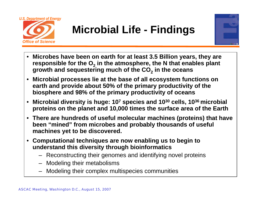

# **Microbial Life - Findings**



- • **Microbes have been on earth for at least 3.5 Billion years, they are**  responsible for the O<sub>2</sub> in the atmosphere, the N that enables plant **growth and sequestering much of the CO** $_2$  **in the oceans**
- $\bullet$  **Microbial processes lie at the base of all ecosystem functions on earth and provide about 50% of the primary productivity of the biosphere and 98% of the primary productivity of oceans**
- $\bullet$  **Microbial diversity is huge: 107 species and 1030 cells, 1036 microbial proteins on the planet and 10,000 times the surface area of the Earth**
- **There are hundreds of useful molecular machines (proteins) that have been "mined" from microbes and probably thousands of useful machines yet to be discovered.**
- $\bullet$  **Computational techniques are now enabling us to begin to understand this diversity through bioinformatics**
	- Reconstructing their genomes and identifying novel proteins
	- Modeling their metabolisms
	- Modeling their complex multispecies communities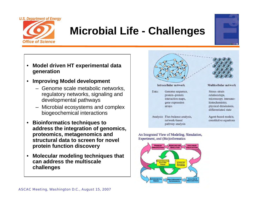

# **Microbial Life - Challenges**

- $\bullet$  **Model driven HT experimental data generation**
- $\bullet$  **Improving Model development**
	- Genome scale metabolic networks, regulatory networks, signaling and developmental pathways
	- Microbial ecosystems and complex biogeochemical interactions
- $\bullet$  **Bioinformatics techniques to address the integration of genomics, proteomics, metagenomics and structural data to screen for novel protein function discovery**
- $\bullet$  **Molecular modeling techniques that can address the multiscale challenges**



#### An Integrated View of Modeling, Simulation, Experiment, and (Bio)informatics



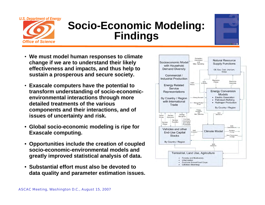

# **Socio-Economic Modeling: Findings**



- **We must model human responses to climate change if we are to understand their likely effectiveness and impacts, and thus help to sustain a prosperous and secure society.**
- **Exascale computers have the potential to transform understanding of socio-economicenvironmental interactions through more detailed treatments of the various components and their interactions, and of issues of uncertainty and risk.**
- **Global socio-economic modeling is ripe for Exascale computing.**
- **Opportunities include the creation of coupled socio-economic-environmental models and greatly improved statistical analysis of data.**
- **Substantial effort must also be devoted to data quality and parameter estimation issues.**

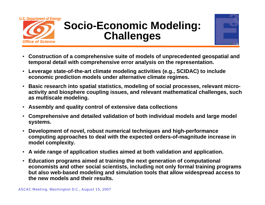

# **Socio-Economic Modeling: Challenges**



- • **Construction of a comprehensive suite of models of unprecedented geospatial and temporal detail with comprehensive error analysis on the representation.**
- **Leverage state-of-the-art climate modeling activities (e.g., SCIDAC) to include economic prediction models under alternative climate regimes.**
- **Basic research into spatial statistics, modeling of social processes, relevant microactivity and biosphere coupling issues, and relevant mathematical challenges, such as multiscale modeling.**
- **Assembly and quality control of extensive data collections**
- $\bullet$  **Comprehensive and detailed validation of both individual models and large model systems.**
- **Development of novel, robust numerical techniques and high-performance computing approaches to deal with the expected orders-of-magnitude increase in model complexity.**
- **A wide range of application studies aimed at both validation and application.**
- **Education programs aimed at training the next generation of computational economists and other social scientists, including not only formal training programs but also web-based modeling and simulation tools that allow widespread access to the new models and their results.**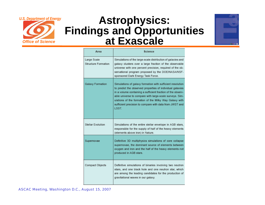

## **Astrophysics: Findings and Opportunities at Exascale**



| Area                                      | Science                                                                                                                                                                                                                                                                                                                                                                         |
|-------------------------------------------|---------------------------------------------------------------------------------------------------------------------------------------------------------------------------------------------------------------------------------------------------------------------------------------------------------------------------------------------------------------------------------|
| Large Scale<br><b>Structure Formation</b> | Simulations of the large-scale distribution of galaxies and<br>galaxy clusters over a large fraction of the observable<br>universe with one percent precision, required of the ob-<br>servational program proposed by the DOE/NASA/NSF-<br>sponsored Dark Energy Task Force.                                                                                                    |
| Galaxy Formation                          | Simulations of galaxy formation with sufficient resolution<br>to predict the observed properties of individual galaxies<br>in a volume containing a sufficient fraction of the observ-<br>able universe to compare with large-scale surveys. Sim-<br>ulations of the formation of the Milky Way Galaxy with<br>sufficient precision to compare with data from JWST and<br>LSST. |
| Stellar Evolution                         | Simulations of the entire stellar envelope in AGB stars,<br>responsible for the supply of half of the heavy elements<br>(elements above iron) in Nature.                                                                                                                                                                                                                        |
| Supernovae                                | Definitive 3D multiphysics simulations of core collapse<br>supernovae, the dominant source of elements between<br>oxygen and iron and the half of the heavy elements not<br>produced in AGB stars.                                                                                                                                                                              |
| Compact Objects                           | Definitive simulations of binaries involving two neutron<br>stars, and one black hole and one neutron star, which<br>are among the leading candidates for the production of<br>gravitational waves in our galaxy.                                                                                                                                                               |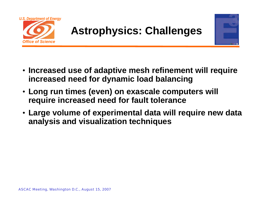



- **Increased use of adaptive mesh refinement will require increased need for dynamic load balancing**
- **Long run times (even) on exascale computers will require increased need for fault tolerance**
- **Large volume of experimental data will require new data analysis and visualization techniques**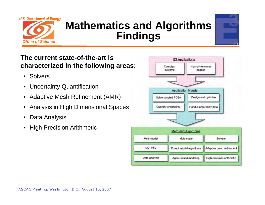

# **Mathematics and Algorithms Findings**



### **The current state-of-the-art is characterized in the following areas:**

- Solvers
- •Uncertainty Quantification
- •Adaptive Mesh Refinement (AMR)
- •Analysis in High Dimensional Spaces
- •Data Analysis
- •High Precision Arithmetic

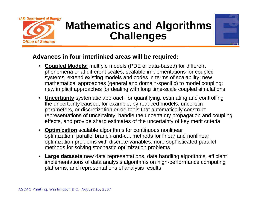

# **Mathematics and Algorithms Challenges**



### **Advances in four interlinked areas will be required:**

- **Coupled Models:** multiple models (PDE or data-based) for different phenomena or at different scales; scalable implementations for coupled systems; extend existing models and codes in terms of scalability; new mathematical approaches (general and domain-specific) to model coupling; new implicit approaches for dealing with long time-scale coupled simulations
- **Uncertainty** systematic approach for quantifying, estimating and controlling the uncertainty caused, for example, by reduced models, uncertain parameters, or discretization error; tools that automatically construct representations of uncertainty, handle the uncertainty propagation and coupling effects, and provide sharp estimates of the uncertainty of key merit criteria
- • **Optimization** scalable algorithms for continuous nonlinear optimization; parallel branch-and-cut methods for linear and nonlinear optimization problems with discrete variables;more sophisticated parallel methods for solving stochastic optimization problems
- **Large datasets** new data representations, data handling algorithms, efficient implementations of data analysis algorithms on high-performance computing platforms, and representations of analysis results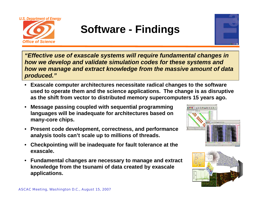

# **Software - Findings**



*"Effective use of exascale systems will require fundamental changes in how we develop and validate simulation codes for these systems and how we manage and extract knowledge from the massive amount of data produced."*

- **Exascale computer architectures necessitate radical changes to the software used to operate them and the science applications. The change is as disruptive as the shift from vector to distributed memory supercomputers 15 years ago.**
- **Message passing coupled with sequential programming languages will be inadequate for architectures based on many-core chips.**
- **Present code development, correctness, and performance analysis tools can't scale up to millions of threads.**
- **Checkpointing will be inadequate for fault tolerance at the exascale.**
- **Fundamental changes are necessary to manage and extract knowledge from the tsunami of data created by exascale applications.**



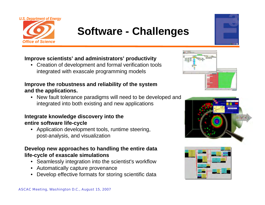

# **Software - Challenges**



### **Improve scientists' and administrators' productivity**

• Creation of development and formal verification tools integrated with exascale programming models

### **Improve the robustness and reliability of the system and the applications.**

• New fault tolerance paradigms will need to be developed and integrated into both existing and new applications

### **Integrate knowledge discovery into the entire software life-cycle**

• Application development tools, runtime steering, post-analysis, and visualization

### **Develop new approaches to handling the entire data life-cycle of exascale simulations**

- Seamlessly integration into the scientist's workflow
- Automatically capture provenance
- Develop effective formats for storing scientific data





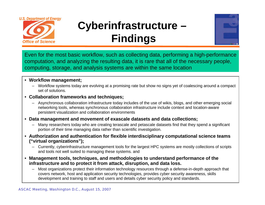

# **Cyberinfrastructure – Findings**



Even for the most basic workflow, such as collecting data, performing a high-performance computation, and analyzing the resulting data, it is rare that all of the necessary people, computing, storage, and analysis systems are within the same location

#### • **Workflow management;**

– Workflow systems today are evolving at a promising rate but show no signs yet of coalescing around a compact set of solutions.

#### • **Collaboration frameworks and techniques;**

- Asynchronous collaboration infrastructure today includes of the use of wikis, blogs, and other emerging social networking tools, whereas synchronous collaboration infrastructure include context and location-aware persistent visualization and collaboration environments
- **Data management and movement of exascale datasets and data collections;**
	- Many researchers today who are creating terascale and petascale datasets find that they spend a significant portion of their time managing data rather than scientific investigation.
- **Authorization and authentication for flexible interdisciplinary computational science teams ("virtual organizations");** 
	- Currently, cyberinfrastructure management tools for the largest HPC systems are mostly collections of scripts and tools not well suited to managing these systems. and
- **Management tools, techniques, and methodologies to understand performance of the infrastructure and to protect it from attack, disruption, and data loss.** 
	- Most organizations protect their information technology resources through a defense-in-depth approach that covers network, host and application security technologies, provides cyber security awareness, skills development and training to staff and users and details cyber security policy and standards.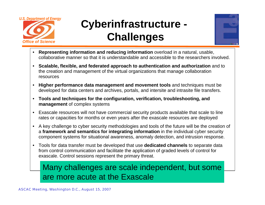

# **Cyberinfrastructure - Challenges**



- • **Representing information and reducing information** overload in a natural, usable, collaborative manner so that it is understandable and accessible to the researchers involved.
- **Scalable, flexible, and federated approach to authentication and authorization** and to the creation and management of the virtual organizations that manage collaboration resources
- **Higher performance data management and movement tools** and techniques must be developed for data centers and archives, portals, and intersite and intrasite file transfers.
- **Tools and techniques for the configuration, verification, troubleshooting, and management** of complex systems
- Exascale resources will not have commercial security products available that scale to line rates or capacities for months or even years after the exascale resources are deployed
- A key challenge to cyber security methodologies and tools of the future will be the creation of <sup>a</sup>**framework and semantics for integrating information** in the individual cyber security component systems for situational awareness, anomaly detection, and intrusion response.
- Tools for data transfer must be developed that use **dedicated channels** to separate data from control communication and facilitate the application of graded levels of control for exascale. Control sessions represent the primary threat.

### Many challenges are scale independent, but some are more acute at the Exascale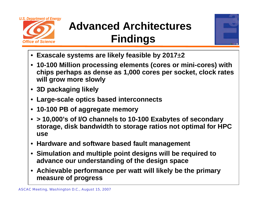

# **Advanced Architectures Findings**



- **Exascale systems are likely feasible by 2017**±**2**
- **10-100 Million processing elements (cores or mini-cores) with chips perhaps as dense as 1,000 cores per socket, clock rates will grow more slowly**
- **3D packaging likely**
- **Large-scale optics based interconnects**
- **10-100 PB of aggregate memory**
- **> 10,000's of I/O channels to 10-100 Exabytes of secondary storage, disk bandwidth to storage ratios not optimal for HPC use**
- **Hardware and software based fault management**
- **Simulation and multiple point designs will be required to advance our understanding of the design space**
- **Achievable performance per watt will likely be the primary measure of progress**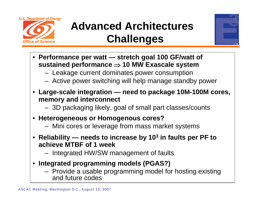

# **Advanced Architectures Challenges**



- **Performance per watt — stretch goal 100 GF/watt of sustained performance** <sup>⇒</sup> **10 MW Exascale system**
	- Leakage current dominates power consumption
	- Active power switching will help manage standby power
- **Large-scale integration — need to package 10M-100M cores, memory and interconnect**
	- 3D packaging likely, goal of small part classes/counts
- **Heterogeneous or Homogenous cores?**
	- Mini cores or leverage from mass market systems
- **Reliability — needs to increase by 103 in faults per PF to achieve MTBF of 1 week**
	- Integrated HW/SW management of faults
- **Integrated programming models (PGAS?)** 
	- Provide a usable programming model for hosting existing and future codes